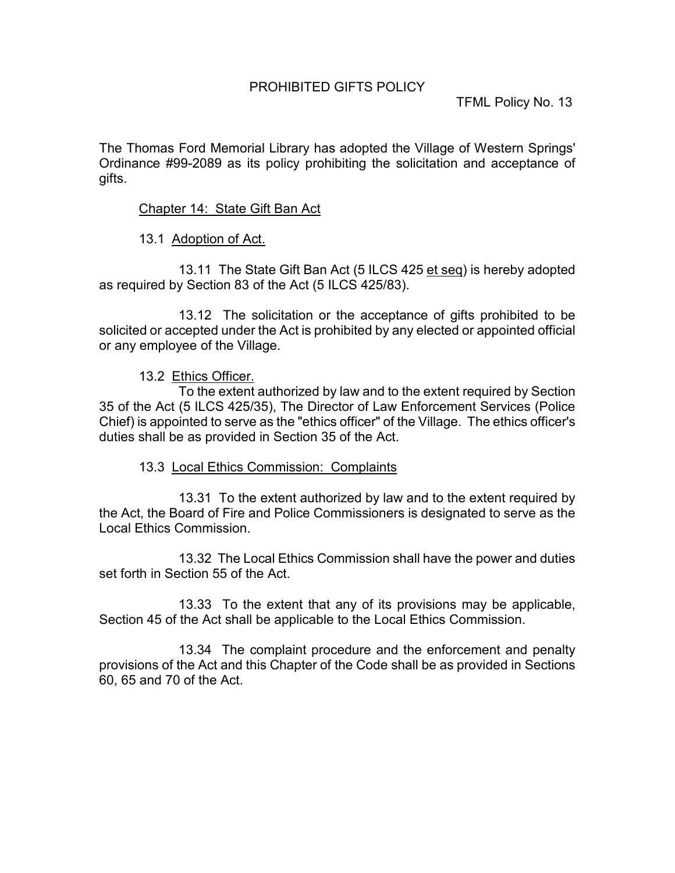TFML Policy No. 13

The Thomas Ford Memorial Library has adopted the Village of Western Springs' Ordinance #99-2089 as its policy prohibiting the solicitation and acceptance of gifts.

# Chapter 14: State Gift Ban Act

## 13.1 Adoption of Act.

13.11 The State Gift Ban Act (5 ILCS 425 et seq) is hereby adopted as required by Section 83 of the Act (5 ILCS 425/83).

13.12 The solicitation or the acceptance of gifts prohibited to be solicited or accepted under the Act is prohibited by any elected or appointed official or any employee of the Village.

## 13.2 Ethics Officer.

To the extent authorized by law and to the extent required by Section 35 of the Act (5 ILCS 425/35), The Director of Law Enforcement Services (Police Chief) is appointed to serve as the "ethics officer" of the Village. The ethics officer's duties shall be as provided in Section 35 of the Act.

#### 13.3 Local Ethics Commission: Complaints

13.31 To the extent authorized by law and to the extent required by the Act, the Board of Fire and Police Commissioners is designated to serve as the Local Ethics Commission.

13.32 The Local Ethics Commission shall have the power and duties set forth in Section 55 of the Act.

13.33 To the extent that any of its provisions may be applicable, Section 45 of the Act shall be applicable to the Local Ethics Commission.

13.34 The complaint procedure and the enforcement and penalty provisions of the Act and this Chapter of the Code shall be as provided in Sections 60, 65 and 70 of the Act.